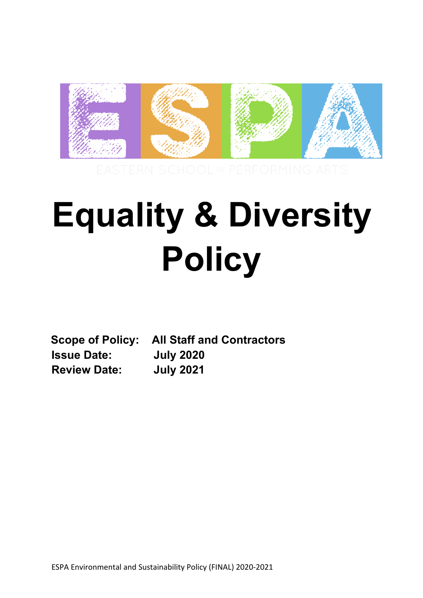

# **Equality & Diversity Policy**

**Scope of Policy: All Staff and Contractors Issue Date: July 2020 Review Date: July 2021**

ESPA Environmental and Sustainability Policy (FINAL) 2020-2021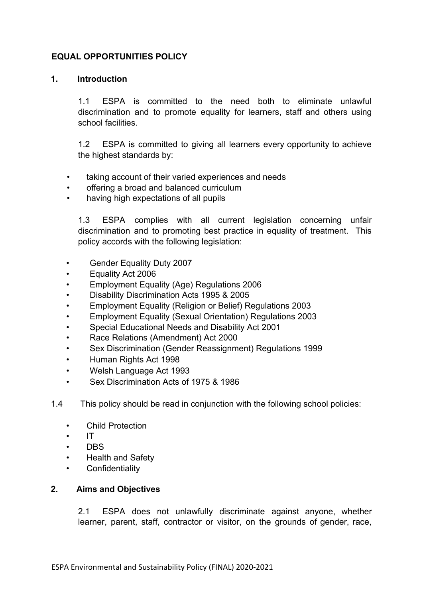## **EQUAL OPPORTUNITIES POLICY**

#### **1. Introduction**

1.1 ESPA is committed to the need both to eliminate unlawful discrimination and to promote equality for learners, staff and others using school facilities.

1.2 ESPA is committed to giving all learners every opportunity to achieve the highest standards by:

- taking account of their varied experiences and needs
- offering a broad and balanced curriculum
- having high expectations of all pupils

1.3 ESPA complies with all current legislation concerning unfair discrimination and to promoting best practice in equality of treatment. This policy accords with the following legislation:

- Gender Equality Duty 2007
- Equality Act 2006
- Employment Equality (Age) Regulations 2006
- Disability Discrimination Acts 1995 & 2005
- Employment Equality (Religion or Belief) Regulations 2003
- Employment Equality (Sexual Orientation) Regulations 2003
- Special Educational Needs and Disability Act 2001
- Race Relations (Amendment) Act 2000
- Sex Discrimination (Gender Reassignment) Regulations 1999
- Human Rights Act 1998
- Welsh Language Act 1993
- Sex Discrimination Acts of 1975 & 1986
- 1.4 This policy should be read in conjunction with the following school policies:
	- Child Protection
	- IT
	- DBS
	- Health and Safety
	- Confidentiality

#### **2. Aims and Objectives**

2.1 ESPA does not unlawfully discriminate against anyone, whether learner, parent, staff, contractor or visitor, on the grounds of gender, race,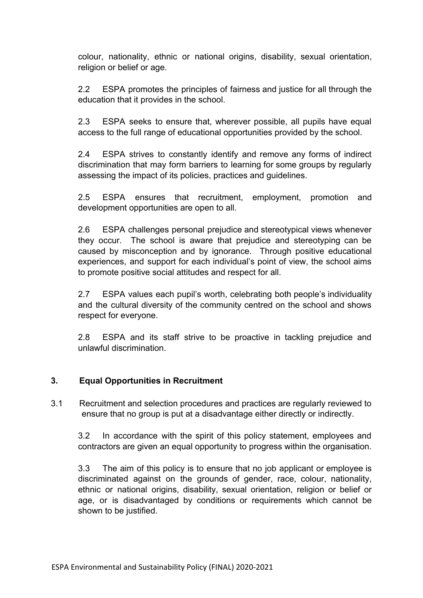colour, nationality, ethnic or national origins, disability, sexual orientation, religion or belief or age.

2.2 ESPA promotes the principles of fairness and justice for all through the education that it provides in the school.

2.3 ESPA seeks to ensure that, wherever possible, all pupils have equal access to the full range of educational opportunities provided by the school.

2.4 ESPA strives to constantly identify and remove any forms of indirect discrimination that may form barriers to learning for some groups by regularly assessing the impact of its policies, practices and guidelines.

2.5 ESPA ensures that recruitment, employment, promotion and development opportunities are open to all.

2.6 ESPA challenges personal prejudice and stereotypical views whenever they occur. The school is aware that prejudice and stereotyping can be caused by misconception and by ignorance. Through positive educational experiences, and support for each individual's point of view, the school aims to promote positive social attitudes and respect for all.

2.7 ESPA values each pupil's worth, celebrating both people's individuality and the cultural diversity of the community centred on the school and shows respect for everyone.

2.8 ESPA and its staff strive to be proactive in tackling prejudice and unlawful discrimination.

## **3. Equal Opportunities in Recruitment**

3.1 Recruitment and selection procedures and practices are regularly reviewed to ensure that no group is put at a disadvantage either directly or indirectly.

3.2 In accordance with the spirit of this policy statement, employees and contractors are given an equal opportunity to progress within the organisation.

3.3 The aim of this policy is to ensure that no job applicant or employee is discriminated against on the grounds of gender, race, colour, nationality, ethnic or national origins, disability, sexual orientation, religion or belief or age, or is disadvantaged by conditions or requirements which cannot be shown to be justified.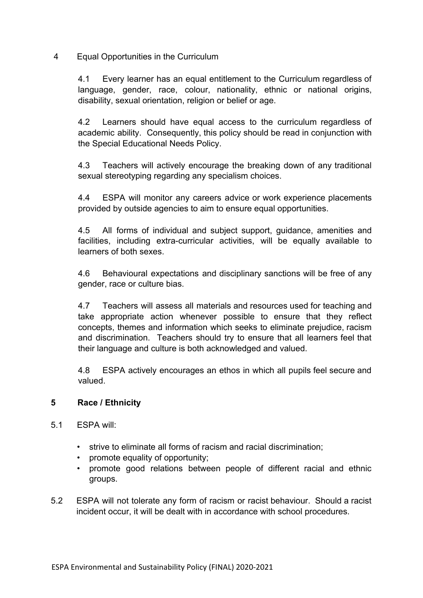4 Equal Opportunities in the Curriculum

4.1 Every learner has an equal entitlement to the Curriculum regardless of language, gender, race, colour, nationality, ethnic or national origins, disability, sexual orientation, religion or belief or age.

4.2 Learners should have equal access to the curriculum regardless of academic ability. Consequently, this policy should be read in conjunction with the Special Educational Needs Policy.

4.3 Teachers will actively encourage the breaking down of any traditional sexual stereotyping regarding any specialism choices.

4.4 ESPA will monitor any careers advice or work experience placements provided by outside agencies to aim to ensure equal opportunities.

4.5 All forms of individual and subject support, guidance, amenities and facilities, including extra-curricular activities, will be equally available to learners of both sexes.

4.6 Behavioural expectations and disciplinary sanctions will be free of any gender, race or culture bias.

4.7 Teachers will assess all materials and resources used for teaching and take appropriate action whenever possible to ensure that they reflect concepts, themes and information which seeks to eliminate prejudice, racism and discrimination. Teachers should try to ensure that all learners feel that their language and culture is both acknowledged and valued.

4.8 ESPA actively encourages an ethos in which all pupils feel secure and valued.

## **5 Race / Ethnicity**

- 5.1 ESPA will:
	- strive to eliminate all forms of racism and racial discrimination;
	- promote equality of opportunity;
	- promote good relations between people of different racial and ethnic groups.
- 5.2 ESPA will not tolerate any form of racism or racist behaviour. Should a racist incident occur, it will be dealt with in accordance with school procedures.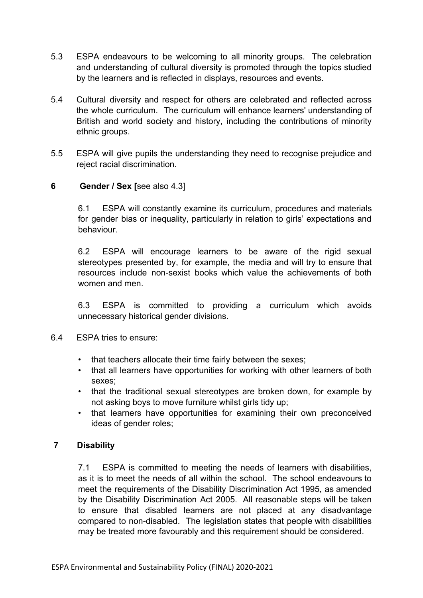- 5.3 ESPA endeavours to be welcoming to all minority groups. The celebration and understanding of cultural diversity is promoted through the topics studied by the learners and is reflected in displays, resources and events.
- 5.4 Cultural diversity and respect for others are celebrated and reflected across the whole curriculum. The curriculum will enhance learners' understanding of British and world society and history, including the contributions of minority ethnic groups.
- 5.5 ESPA will give pupils the understanding they need to recognise prejudice and reject racial discrimination.

## **6 Gender / Sex [**see also 4.3]

6.1 ESPA will constantly examine its curriculum, procedures and materials for gender bias or inequality, particularly in relation to girls' expectations and behaviour.

6.2 ESPA will encourage learners to be aware of the rigid sexual stereotypes presented by, for example, the media and will try to ensure that resources include non-sexist books which value the achievements of both women and men

6.3 ESPA is committed to providing a curriculum which avoids unnecessary historical gender divisions.

- 6.4 ESPA tries to ensure:
	- that teachers allocate their time fairly between the sexes;
	- that all learners have opportunities for working with other learners of both sexes;
	- that the traditional sexual stereotypes are broken down, for example by not asking boys to move furniture whilst girls tidy up;
	- that learners have opportunities for examining their own preconceived ideas of gender roles;

#### **7 Disability**

7.1 ESPA is committed to meeting the needs of learners with disabilities, as it is to meet the needs of all within the school. The school endeavours to meet the requirements of the Disability Discrimination Act 1995, as amended by the Disability Discrimination Act 2005. All reasonable steps will be taken to ensure that disabled learners are not placed at any disadvantage compared to non-disabled. The legislation states that people with disabilities may be treated more favourably and this requirement should be considered.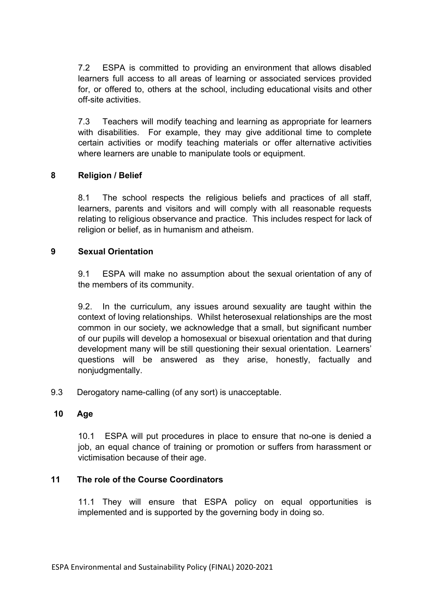7.2 ESPA is committed to providing an environment that allows disabled learners full access to all areas of learning or associated services provided for, or offered to, others at the school, including educational visits and other off-site activities.

7.3 Teachers will modify teaching and learning as appropriate for learners with disabilities. For example, they may give additional time to complete certain activities or modify teaching materials or offer alternative activities where learners are unable to manipulate tools or equipment.

### **8 Religion / Belief**

8.1 The school respects the religious beliefs and practices of all staff, learners, parents and visitors and will comply with all reasonable requests relating to religious observance and practice. This includes respect for lack of religion or belief, as in humanism and atheism.

#### **9 Sexual Orientation**

9.1 ESPA will make no assumption about the sexual orientation of any of the members of its community.

9.2. In the curriculum, any issues around sexuality are taught within the context of loving relationships. Whilst heterosexual relationships are the most common in our society, we acknowledge that a small, but significant number of our pupils will develop a homosexual or bisexual orientation and that during development many will be still questioning their sexual orientation. Learners' questions will be answered as they arise, honestly, factually and nonjudgmentally.

9.3 Derogatory name-calling (of any sort) is unacceptable.

## **10 Age**

10.1 ESPA will put procedures in place to ensure that no-one is denied a job, an equal chance of training or promotion or suffers from harassment or victimisation because of their age.

## **11 The role of the Course Coordinators**

11.1 They will ensure that ESPA policy on equal opportunities is implemented and is supported by the governing body in doing so.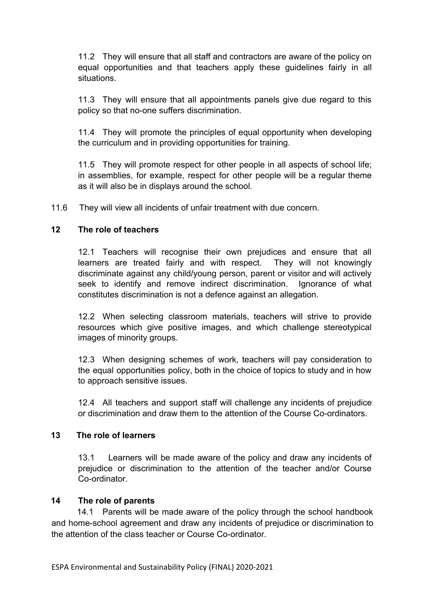11.2 They will ensure that all staff and contractors are aware of the policy on equal opportunities and that teachers apply these guidelines fairly in all situations.

11.3 They will ensure that all appointments panels give due regard to this policy so that no-one suffers discrimination.

11.4 They will promote the principles of equal opportunity when developing the curriculum and in providing opportunities for training.

11.5 They will promote respect for other people in all aspects of school life; in assemblies, for example, respect for other people will be a regular theme as it will also be in displays around the school.

11.6 They will view all incidents of unfair treatment with due concern.

## **12 The role of teachers**

12.1 Teachers will recognise their own prejudices and ensure that all learners are treated fairly and with respect. They will not knowingly discriminate against any child/young person, parent or visitor and will actively seek to identify and remove indirect discrimination. Ignorance of what constitutes discrimination is not a defence against an allegation.

12.2 When selecting classroom materials, teachers will strive to provide resources which give positive images, and which challenge stereotypical images of minority groups.

12.3 When designing schemes of work, teachers will pay consideration to the equal opportunities policy, both in the choice of topics to study and in how to approach sensitive issues.

12.4 All teachers and support staff will challenge any incidents of prejudice or discrimination and draw them to the attention of the Course Co-ordinators.

#### **13 The role of learners**

13.1 Learners will be made aware of the policy and draw any incidents of prejudice or discrimination to the attention of the teacher and/or Course Co-ordinator.

#### **14 The role of parents**

14.1 Parents will be made aware of the policy through the school handbook and home-school agreement and draw any incidents of prejudice or discrimination to the attention of the class teacher or Course Co-ordinator.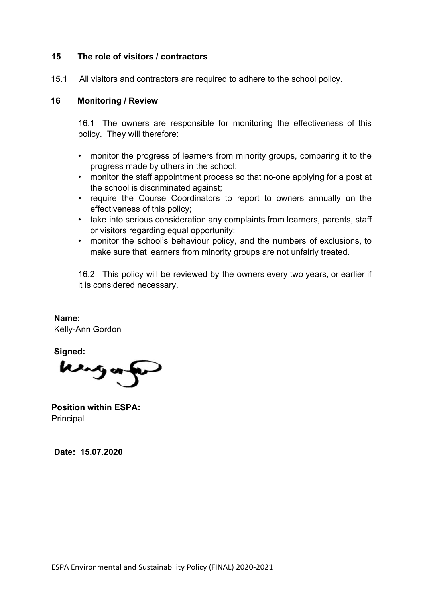#### **15 The role of visitors / contractors**

15.1 All visitors and contractors are required to adhere to the school policy.

#### **16 Monitoring / Review**

16.1 The owners are responsible for monitoring the effectiveness of this policy. They will therefore:

- monitor the progress of learners from minority groups, comparing it to the progress made by others in the school;
- monitor the staff appointment process so that no-one applying for a post at the school is discriminated against;
- require the Course Coordinators to report to owners annually on the effectiveness of this policy;
- take into serious consideration any complaints from learners, parents, staff or visitors regarding equal opportunity;
- monitor the school's behaviour policy, and the numbers of exclusions, to make sure that learners from minority groups are not unfairly treated.

16.2 This policy will be reviewed by the owners every two years, or earlier if it is considered necessary.

**Name:** Kelly-Ann Gordon

**Signed:**

وسعا

**Position within ESPA:** Principal

**Date: 15.07.2020**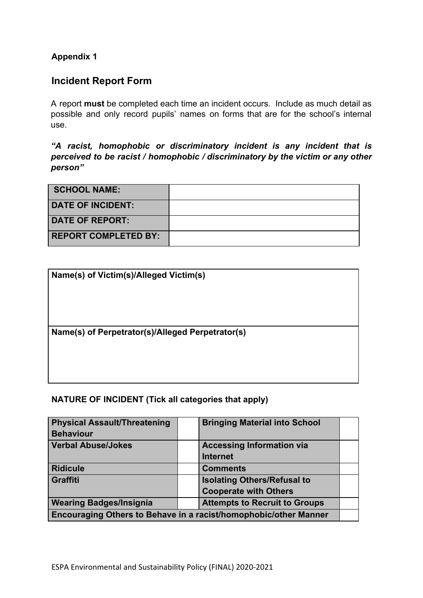## **Appendix 1**

# **Incident Report Form**

A report **must** be completed each time an incident occurs. Include as much detail as possible and only record pupils' names on forms that are for the school's internal use.

*"A racist, homophobic or discriminatory incident is any incident that is perceived to be racist / homophobic / discriminatory by the victim or any other person"*

| <b>SCHOOL NAME:</b>         |  |
|-----------------------------|--|
| <b>DATE OF INCIDENT:</b>    |  |
| <b>DATE OF REPORT:</b>      |  |
| <b>REPORT COMPLETED BY:</b> |  |

| Name(s) of Victim(s)/Alleged Victim(s)           |  |
|--------------------------------------------------|--|
|                                                  |  |
| Name(s) of Perpetrator(s)/Alleged Perpetrator(s) |  |
|                                                  |  |
|                                                  |  |

**NATURE OF INCIDENT (Tick all categories that apply)**

| <b>Physical Assault/Threatening</b><br><b>Behaviour</b>          |  | <b>Bringing Material into School</b> |  |  |
|------------------------------------------------------------------|--|--------------------------------------|--|--|
| <b>Verbal Abuse/Jokes</b>                                        |  | <b>Accessing Information via</b>     |  |  |
|                                                                  |  | <b>Internet</b>                      |  |  |
| <b>Ridicule</b>                                                  |  | <b>Comments</b>                      |  |  |
| Graffiti                                                         |  | <b>Isolating Others/Refusal to</b>   |  |  |
|                                                                  |  | <b>Cooperate with Others</b>         |  |  |
| <b>Wearing Badges/Insignia</b>                                   |  | <b>Attempts to Recruit to Groups</b> |  |  |
| Encouraging Others to Behave in a racist/homophobic/other Manner |  |                                      |  |  |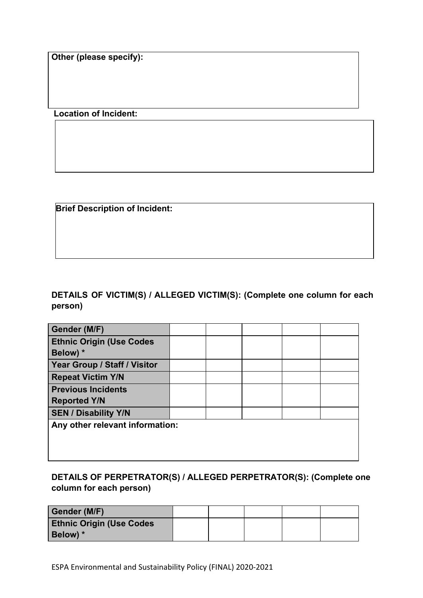**Other (please specify):**

 **Location of Incident:**

**Brief Description of Incident:**

**DETAILS OF VICTIM(S) / ALLEGED VICTIM(S): (Complete one column for each person)**

| Gender (M/F)                    |  |  |  |  |  |
|---------------------------------|--|--|--|--|--|
| <b>Ethnic Origin (Use Codes</b> |  |  |  |  |  |
| Below) *                        |  |  |  |  |  |
| Year Group / Staff / Visitor    |  |  |  |  |  |
| <b>Repeat Victim Y/N</b>        |  |  |  |  |  |
| <b>Previous Incidents</b>       |  |  |  |  |  |
| <b>Reported Y/N</b>             |  |  |  |  |  |
| <b>SEN / Disability Y/N</b>     |  |  |  |  |  |
| Any other relevant information: |  |  |  |  |  |
|                                 |  |  |  |  |  |
|                                 |  |  |  |  |  |
|                                 |  |  |  |  |  |

**DETAILS OF PERPETRATOR(S) / ALLEGED PERPETRATOR(S): (Complete one column for each person)**

| Gender (M/F)                    |  |  |  |
|---------------------------------|--|--|--|
| <b>Ethnic Origin (Use Codes</b> |  |  |  |
| Below) *                        |  |  |  |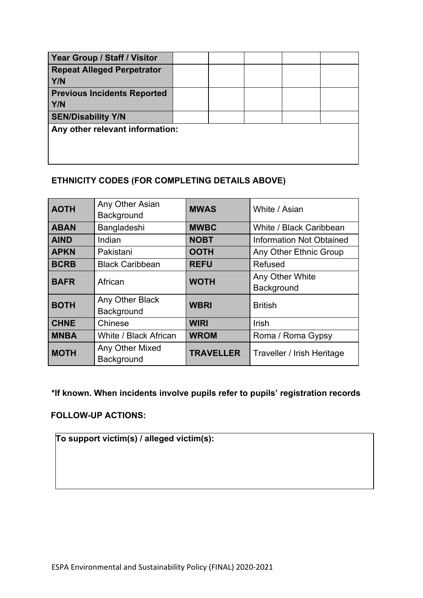| Year Group / Staff / Visitor                    |  |  |  |
|-------------------------------------------------|--|--|--|
| <b>Repeat Alleged Perpetrator</b><br><b>Y/N</b> |  |  |  |
| <b>Previous Incidents Reported</b><br>Y/N       |  |  |  |
| <b>SEN/Disability Y/N</b>                       |  |  |  |
| Any other relevant information:                 |  |  |  |

# **ETHNICITY CODES (FOR COMPLETING DETAILS ABOVE)**

| <b>AOTH</b> | Any Other Asian<br>Background | <b>MWAS</b>      | White / Asian                   |
|-------------|-------------------------------|------------------|---------------------------------|
| <b>ABAN</b> | Bangladeshi                   | <b>MWBC</b>      | White / Black Caribbean         |
| <b>AIND</b> | Indian                        | <b>NOBT</b>      | <b>Information Not Obtained</b> |
| <b>APKN</b> | Pakistani                     | <b>OOTH</b>      | Any Other Ethnic Group          |
| <b>BCRB</b> | <b>Black Caribbean</b>        | <b>REFU</b>      | Refused                         |
| <b>BAFR</b> | African                       | <b>WOTH</b>      | Any Other White<br>Background   |
| <b>BOTH</b> | Any Other Black<br>Background | <b>WBRI</b>      | <b>British</b>                  |
| <b>CHNE</b> | Chinese                       | <b>WIRI</b>      | <b>Irish</b>                    |
| <b>MNBA</b> | White / Black African         | <b>WROM</b>      | Roma / Roma Gypsy               |
| <b>MOTH</b> | Any Other Mixed<br>Background | <b>TRAVELLER</b> | Traveller / Irish Heritage      |

**\*If known. When incidents involve pupils refer to pupils' registration records**

**FOLLOW-UP ACTIONS:**

**To support victim(s) / alleged victim(s):**